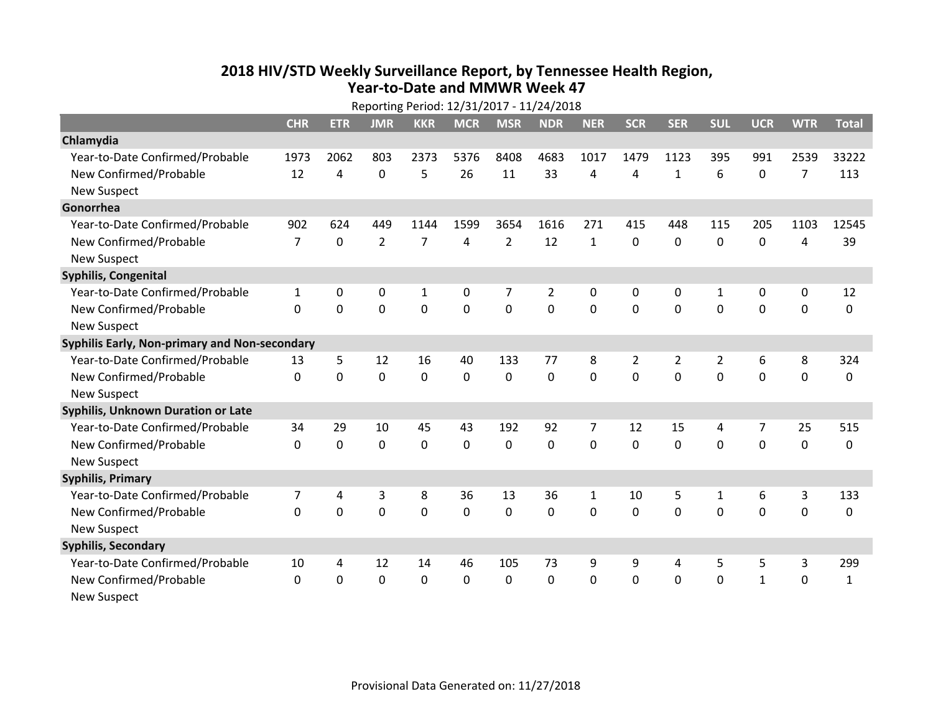## **2018 HIV /STD Weekly Surveillance Report, by Tennessee Health Region, Year‐to‐Date and MMWR Week 47**

|                                               | Reporting Period: 12/31/2017 - 11/24/2018 |              |                |                |            |                |                |                |                |              |                |              |             |              |
|-----------------------------------------------|-------------------------------------------|--------------|----------------|----------------|------------|----------------|----------------|----------------|----------------|--------------|----------------|--------------|-------------|--------------|
|                                               | <b>CHR</b>                                | <b>ETR</b>   | <b>JMR</b>     | <b>KKR</b>     | <b>MCR</b> | <b>MSR</b>     | <b>NDR</b>     | <b>NER</b>     | <b>SCR</b>     | <b>SER</b>   | <b>SUL</b>     | <b>UCR</b>   | <b>WTR</b>  | <b>Total</b> |
| Chlamydia                                     |                                           |              |                |                |            |                |                |                |                |              |                |              |             |              |
| Year-to-Date Confirmed/Probable               | 1973                                      | 2062         | 803            | 2373           | 5376       | 8408           | 4683           | 1017           | 1479           | 1123         | 395            | 991          | 2539        | 33222        |
| New Confirmed/Probable                        | 12                                        | 4            | 0              | 5              | 26         | 11             | 33             | 4              | 4              | $\mathbf{1}$ | 6              | 0            | 7           | 113          |
| <b>New Suspect</b>                            |                                           |              |                |                |            |                |                |                |                |              |                |              |             |              |
| Gonorrhea                                     |                                           |              |                |                |            |                |                |                |                |              |                |              |             |              |
| Year-to-Date Confirmed/Probable               | 902                                       | 624          | 449            | 1144           | 1599       | 3654           | 1616           | 271            | 415            | 448          | 115            | 205          | 1103        | 12545        |
| New Confirmed/Probable                        | $\overline{7}$                            | $\mathbf{0}$ | $\overline{2}$ | $\overline{7}$ | 4          | $\overline{2}$ | 12             | $\mathbf{1}$   | $\Omega$       | $\Omega$     | $\mathbf{0}$   | 0            | 4           | 39           |
| <b>New Suspect</b>                            |                                           |              |                |                |            |                |                |                |                |              |                |              |             |              |
| <b>Syphilis, Congenital</b>                   |                                           |              |                |                |            |                |                |                |                |              |                |              |             |              |
| Year-to-Date Confirmed/Probable               | 1                                         | 0            | 0              | 1              | 0          | 7              | $\overline{2}$ | 0              | $\Omega$       | 0            | 1              | 0            | $\mathbf 0$ | 12           |
| New Confirmed/Probable                        | 0                                         | 0            | 0              | 0              | 0          | 0              | 0              | 0              | 0              | $\mathbf{0}$ | $\mathbf{0}$   | $\mathbf{0}$ | 0           | 0            |
| <b>New Suspect</b>                            |                                           |              |                |                |            |                |                |                |                |              |                |              |             |              |
| Syphilis Early, Non-primary and Non-secondary |                                           |              |                |                |            |                |                |                |                |              |                |              |             |              |
| Year-to-Date Confirmed/Probable               | 13                                        | 5            | 12             | 16             | 40         | 133            | 77             | 8              | $\overline{2}$ | 2            | $\overline{2}$ | 6            | 8           | 324          |
| New Confirmed/Probable                        | 0                                         | 0            | 0              | 0              | 0          | $\mathbf 0$    | 0              | 0              | 0              | 0            | 0              | 0            | $\mathbf 0$ | 0            |
| <b>New Suspect</b>                            |                                           |              |                |                |            |                |                |                |                |              |                |              |             |              |
| Syphilis, Unknown Duration or Late            |                                           |              |                |                |            |                |                |                |                |              |                |              |             |              |
| Year-to-Date Confirmed/Probable               | 34                                        | 29           | 10             | 45             | 43         | 192            | 92             | $\overline{7}$ | 12             | 15           | 4              | 7            | 25          | 515          |
| New Confirmed/Probable                        | 0                                         | 0            | $\mathbf 0$    | $\mathbf 0$    | 0          | $\mathbf 0$    | $\mathbf 0$    | 0              | 0              | 0            | 0              | $\mathbf 0$  | $\mathbf 0$ | $\mathbf 0$  |
| <b>New Suspect</b>                            |                                           |              |                |                |            |                |                |                |                |              |                |              |             |              |
| <b>Syphilis, Primary</b>                      |                                           |              |                |                |            |                |                |                |                |              |                |              |             |              |
| Year-to-Date Confirmed/Probable               | 7                                         | 4            | 3              | 8              | 36         | 13             | 36             | 1              | 10             | 5            | 1              | 6            | 3           | 133          |
| New Confirmed/Probable                        | 0                                         | $\mathbf 0$  | 0              | $\mathbf 0$    | 0          | 0              | 0              | 0              | 0              | 0            | 0              | 0            | $\mathbf 0$ | 0            |
| <b>New Suspect</b>                            |                                           |              |                |                |            |                |                |                |                |              |                |              |             |              |
| <b>Syphilis, Secondary</b>                    |                                           |              |                |                |            |                |                |                |                |              |                |              |             |              |
| Year-to-Date Confirmed/Probable               | 10                                        | 4            | 12             | 14             | 46         | 105            | 73             | 9              | 9              | 4            | 5              | 5            | 3           | 299          |
| New Confirmed/Probable                        | $\Omega$                                  | $\mathbf{0}$ | $\Omega$       | $\mathbf 0$    | 0          | $\Omega$       | 0              | $\Omega$       | $\Omega$       | $\Omega$     | $\Omega$       | $\mathbf{1}$ | $\mathbf 0$ | 1            |
| <b>New Suspect</b>                            |                                           |              |                |                |            |                |                |                |                |              |                |              |             |              |